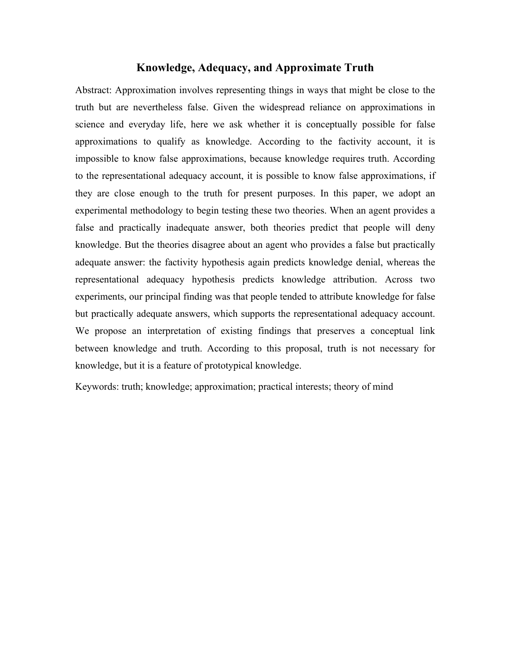# **Knowledge, Adequacy, and Approximate Truth**

Abstract: Approximation involves representing things in ways that might be close to the truth but are nevertheless false. Given the widespread reliance on approximations in science and everyday life, here we ask whether it is conceptually possible for false approximations to qualify as knowledge. According to the factivity account, it is impossible to know false approximations, because knowledge requires truth. According to the representational adequacy account, it is possible to know false approximations, if they are close enough to the truth for present purposes. In this paper, we adopt an experimental methodology to begin testing these two theories. When an agent provides a false and practically inadequate answer, both theories predict that people will deny knowledge. But the theories disagree about an agent who provides a false but practically adequate answer: the factivity hypothesis again predicts knowledge denial, whereas the representational adequacy hypothesis predicts knowledge attribution. Across two experiments, our principal finding was that people tended to attribute knowledge for false but practically adequate answers, which supports the representational adequacy account. We propose an interpretation of existing findings that preserves a conceptual link between knowledge and truth. According to this proposal, truth is not necessary for knowledge, but it is a feature of prototypical knowledge.

Keywords: truth; knowledge; approximation; practical interests; theory of mind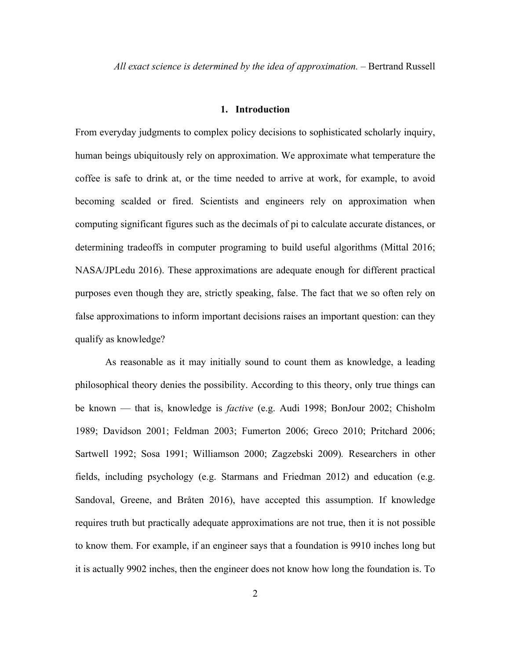*All exact science is determined by the idea of approximation.* – Bertrand Russell

# **1. Introduction**

From everyday judgments to complex policy decisions to sophisticated scholarly inquiry, human beings ubiquitously rely on approximation. We approximate what temperature the coffee is safe to drink at, or the time needed to arrive at work, for example, to avoid becoming scalded or fired. Scientists and engineers rely on approximation when computing significant figures such as the decimals of pi to calculate accurate distances, or determining tradeoffs in computer programing to build useful algorithms (Mittal 2016; NASA/JPLedu 2016). These approximations are adequate enough for different practical purposes even though they are, strictly speaking, false. The fact that we so often rely on false approximations to inform important decisions raises an important question: can they qualify as knowledge?

As reasonable as it may initially sound to count them as knowledge, a leading philosophical theory denies the possibility. According to this theory, only true things can be known — that is, knowledge is *factive* (e.g. Audi 1998; BonJour 2002; Chisholm 1989; Davidson 2001; Feldman 2003; Fumerton 2006; Greco 2010; Pritchard 2006; Sartwell 1992; Sosa 1991; Williamson 2000; Zagzebski 2009)*.* Researchers in other fields, including psychology (e.g. Starmans and Friedman 2012) and education (e.g. Sandoval, Greene, and Bråten 2016), have accepted this assumption. If knowledge requires truth but practically adequate approximations are not true, then it is not possible to know them. For example, if an engineer says that a foundation is 9910 inches long but it is actually 9902 inches, then the engineer does not know how long the foundation is. To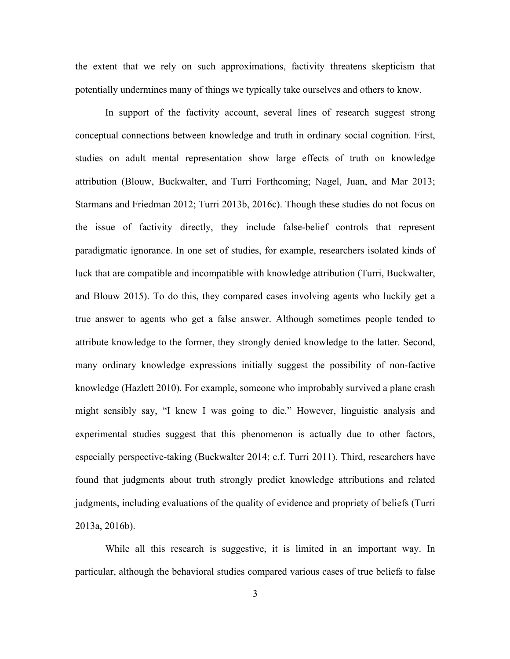the extent that we rely on such approximations, factivity threatens skepticism that potentially undermines many of things we typically take ourselves and others to know.

In support of the factivity account, several lines of research suggest strong conceptual connections between knowledge and truth in ordinary social cognition. First, studies on adult mental representation show large effects of truth on knowledge attribution (Blouw, Buckwalter, and Turri Forthcoming; Nagel, Juan, and Mar 2013; Starmans and Friedman 2012; Turri 2013b, 2016c). Though these studies do not focus on the issue of factivity directly, they include false-belief controls that represent paradigmatic ignorance. In one set of studies, for example, researchers isolated kinds of luck that are compatible and incompatible with knowledge attribution (Turri, Buckwalter, and Blouw 2015). To do this, they compared cases involving agents who luckily get a true answer to agents who get a false answer. Although sometimes people tended to attribute knowledge to the former, they strongly denied knowledge to the latter. Second, many ordinary knowledge expressions initially suggest the possibility of non-factive knowledge (Hazlett 2010). For example, someone who improbably survived a plane crash might sensibly say, "I knew I was going to die." However, linguistic analysis and experimental studies suggest that this phenomenon is actually due to other factors, especially perspective-taking (Buckwalter 2014; c.f. Turri 2011). Third, researchers have found that judgments about truth strongly predict knowledge attributions and related judgments, including evaluations of the quality of evidence and propriety of beliefs (Turri 2013a, 2016b).

While all this research is suggestive, it is limited in an important way. In particular, although the behavioral studies compared various cases of true beliefs to false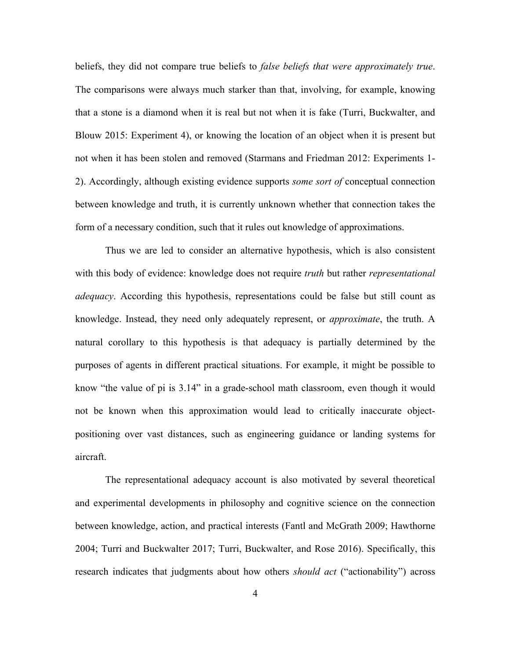beliefs, they did not compare true beliefs to *false beliefs that were approximately true*. The comparisons were always much starker than that, involving, for example, knowing that a stone is a diamond when it is real but not when it is fake (Turri, Buckwalter, and Blouw 2015: Experiment 4), or knowing the location of an object when it is present but not when it has been stolen and removed (Starmans and Friedman 2012: Experiments 1- 2). Accordingly, although existing evidence supports *some sort of* conceptual connection between knowledge and truth, it is currently unknown whether that connection takes the form of a necessary condition, such that it rules out knowledge of approximations.

Thus we are led to consider an alternative hypothesis, which is also consistent with this body of evidence: knowledge does not require *truth* but rather *representational adequacy*. According this hypothesis, representations could be false but still count as knowledge. Instead, they need only adequately represent, or *approximate*, the truth. A natural corollary to this hypothesis is that adequacy is partially determined by the purposes of agents in different practical situations. For example, it might be possible to know "the value of pi is 3.14" in a grade-school math classroom, even though it would not be known when this approximation would lead to critically inaccurate objectpositioning over vast distances, such as engineering guidance or landing systems for aircraft.

The representational adequacy account is also motivated by several theoretical and experimental developments in philosophy and cognitive science on the connection between knowledge, action, and practical interests (Fantl and McGrath 2009; Hawthorne 2004; Turri and Buckwalter 2017; Turri, Buckwalter, and Rose 2016). Specifically, this research indicates that judgments about how others *should act* ("actionability") across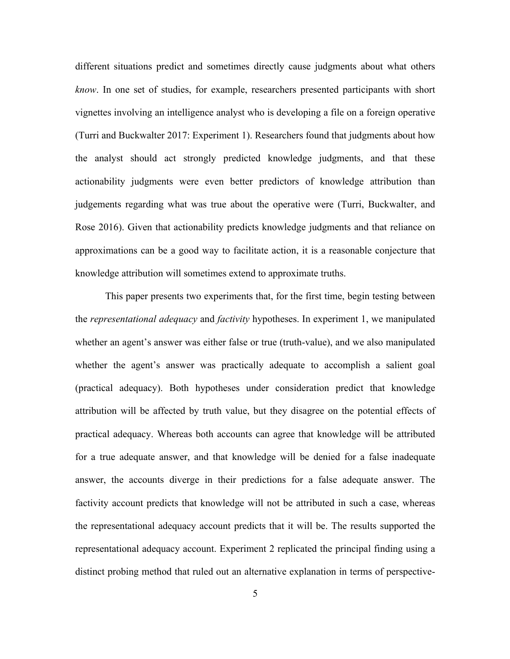different situations predict and sometimes directly cause judgments about what others *know*. In one set of studies, for example, researchers presented participants with short vignettes involving an intelligence analyst who is developing a file on a foreign operative (Turri and Buckwalter 2017: Experiment 1). Researchers found that judgments about how the analyst should act strongly predicted knowledge judgments, and that these actionability judgments were even better predictors of knowledge attribution than judgements regarding what was true about the operative were (Turri, Buckwalter, and Rose 2016). Given that actionability predicts knowledge judgments and that reliance on approximations can be a good way to facilitate action, it is a reasonable conjecture that knowledge attribution will sometimes extend to approximate truths.

This paper presents two experiments that, for the first time, begin testing between the *representational adequacy* and *factivity* hypotheses. In experiment 1, we manipulated whether an agent's answer was either false or true (truth-value), and we also manipulated whether the agent's answer was practically adequate to accomplish a salient goal (practical adequacy). Both hypotheses under consideration predict that knowledge attribution will be affected by truth value, but they disagree on the potential effects of practical adequacy. Whereas both accounts can agree that knowledge will be attributed for a true adequate answer, and that knowledge will be denied for a false inadequate answer, the accounts diverge in their predictions for a false adequate answer. The factivity account predicts that knowledge will not be attributed in such a case, whereas the representational adequacy account predicts that it will be. The results supported the representational adequacy account. Experiment 2 replicated the principal finding using a distinct probing method that ruled out an alternative explanation in terms of perspective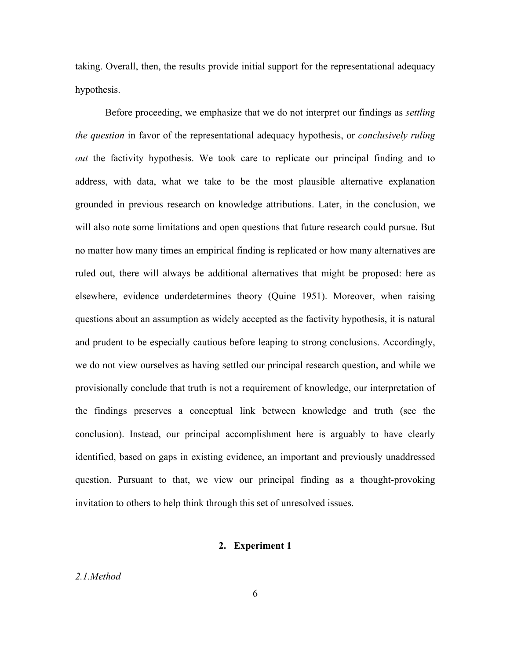taking. Overall, then, the results provide initial support for the representational adequacy hypothesis.

Before proceeding, we emphasize that we do not interpret our findings as *settling the question* in favor of the representational adequacy hypothesis, or *conclusively ruling out* the factivity hypothesis. We took care to replicate our principal finding and to address, with data, what we take to be the most plausible alternative explanation grounded in previous research on knowledge attributions. Later, in the conclusion, we will also note some limitations and open questions that future research could pursue. But no matter how many times an empirical finding is replicated or how many alternatives are ruled out, there will always be additional alternatives that might be proposed: here as elsewhere, evidence underdetermines theory (Quine 1951). Moreover, when raising questions about an assumption as widely accepted as the factivity hypothesis, it is natural and prudent to be especially cautious before leaping to strong conclusions. Accordingly, we do not view ourselves as having settled our principal research question, and while we provisionally conclude that truth is not a requirement of knowledge, our interpretation of the findings preserves a conceptual link between knowledge and truth (see the conclusion). Instead, our principal accomplishment here is arguably to have clearly identified, based on gaps in existing evidence, an important and previously unaddressed question. Pursuant to that, we view our principal finding as a thought-provoking invitation to others to help think through this set of unresolved issues.

## **2. Experiment 1**

# *2.1.Method*

6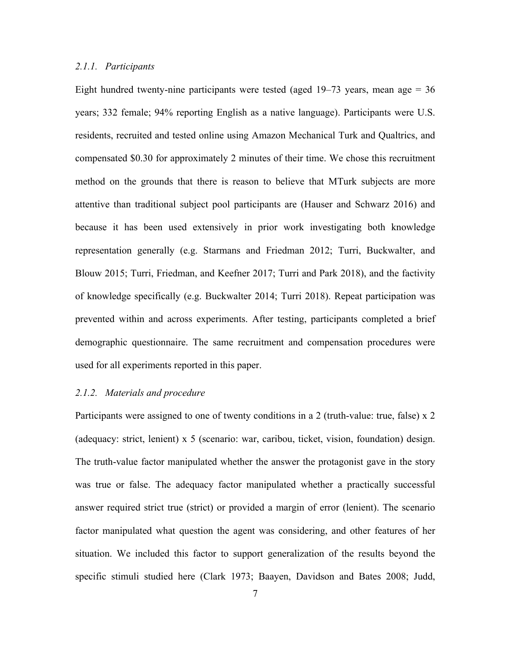#### *2.1.1. Participants*

Eight hundred twenty-nine participants were tested (aged  $19-73$  years, mean age = 36 years; 332 female; 94% reporting English as a native language). Participants were U.S. residents, recruited and tested online using Amazon Mechanical Turk and Qualtrics, and compensated \$0.30 for approximately 2 minutes of their time. We chose this recruitment method on the grounds that there is reason to believe that MTurk subjects are more attentive than traditional subject pool participants are (Hauser and Schwarz 2016) and because it has been used extensively in prior work investigating both knowledge representation generally (e.g. Starmans and Friedman 2012; Turri, Buckwalter, and Blouw 2015; Turri, Friedman, and Keefner 2017; Turri and Park 2018), and the factivity of knowledge specifically (e.g. Buckwalter 2014; Turri 2018). Repeat participation was prevented within and across experiments. After testing, participants completed a brief demographic questionnaire. The same recruitment and compensation procedures were used for all experiments reported in this paper.

#### *2.1.2. Materials and procedure*

Participants were assigned to one of twenty conditions in a 2 (truth-value: true, false) x 2 (adequacy: strict, lenient) x 5 (scenario: war, caribou, ticket, vision, foundation) design. The truth-value factor manipulated whether the answer the protagonist gave in the story was true or false. The adequacy factor manipulated whether a practically successful answer required strict true (strict) or provided a margin of error (lenient). The scenario factor manipulated what question the agent was considering, and other features of her situation. We included this factor to support generalization of the results beyond the specific stimuli studied here (Clark 1973; Baayen, Davidson and Bates 2008; Judd,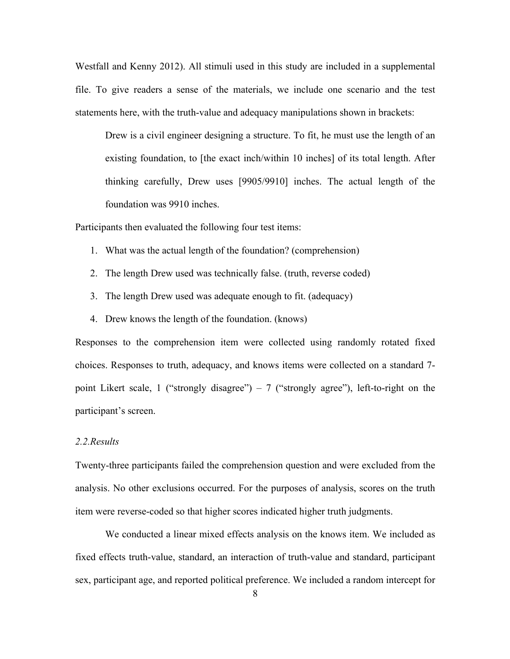Westfall and Kenny 2012). All stimuli used in this study are included in a supplemental file. To give readers a sense of the materials, we include one scenario and the test statements here, with the truth-value and adequacy manipulations shown in brackets:

Drew is a civil engineer designing a structure. To fit, he must use the length of an existing foundation, to [the exact inch/within 10 inches] of its total length. After thinking carefully, Drew uses [9905/9910] inches. The actual length of the foundation was 9910 inches.

Participants then evaluated the following four test items:

- 1. What was the actual length of the foundation? (comprehension)
- 2. The length Drew used was technically false. (truth, reverse coded)
- 3. The length Drew used was adequate enough to fit. (adequacy)
- 4. Drew knows the length of the foundation. (knows)

Responses to the comprehension item were collected using randomly rotated fixed choices. Responses to truth, adequacy, and knows items were collected on a standard 7 point Likert scale, 1 ("strongly disagree") – 7 ("strongly agree"), left-to-right on the participant's screen.

### *2.2.Results*

Twenty-three participants failed the comprehension question and were excluded from the analysis. No other exclusions occurred. For the purposes of analysis, scores on the truth item were reverse-coded so that higher scores indicated higher truth judgments.

We conducted a linear mixed effects analysis on the knows item. We included as fixed effects truth-value, standard, an interaction of truth-value and standard, participant sex, participant age, and reported political preference. We included a random intercept for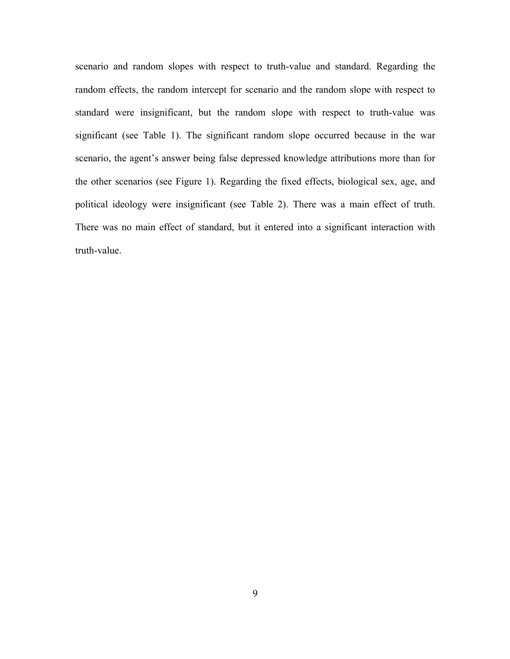scenario and random slopes with respect to truth-value and standard. Regarding the random effects, the random intercept for scenario and the random slope with respect to standard were insignificant, but the random slope with respect to truth-value was significant (see Table 1). The significant random slope occurred because in the war scenario, the agent's answer being false depressed knowledge attributions more than for the other scenarios (see Figure 1). Regarding the fixed effects, biological sex, age, and political ideology were insignificant (see Table 2). There was a main effect of truth. There was no main effect of standard, but it entered into a significant interaction with truth-value.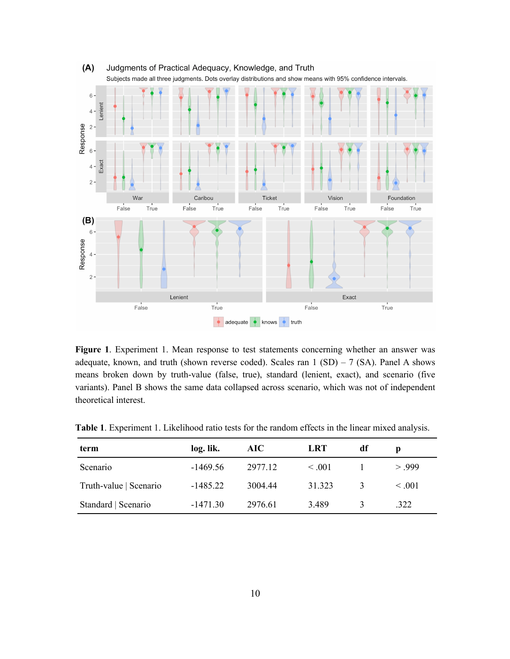

**Figure 1**. Experiment 1. Mean response to test statements concerning whether an answer was adequate, known, and truth (shown reverse coded). Scales ran  $1 (SD) - 7 (SA)$ . Panel A shows means broken down by truth-value (false, true), standard (lenient, exact), and scenario (five variants). Panel B shows the same data collapsed across scenario, which was not of independent theoretical interest.

| term                   | log. lik.  | AIC     | <b>LRT</b>  | df            |             |
|------------------------|------------|---------|-------------|---------------|-------------|
| Scenario               | $-1469.56$ | 2977.12 | $\leq .001$ |               | > 999       |
| Truth-value   Scenario | $-1485.22$ | 3004.44 | 31.323      | $\mathcal{E}$ | $\leq .001$ |
| Standard   Scenario    | $-1471.30$ | 2976.61 | 3.489       |               | .322        |

**Table 1**. Experiment 1. Likelihood ratio tests for the random effects in the linear mixed analysis.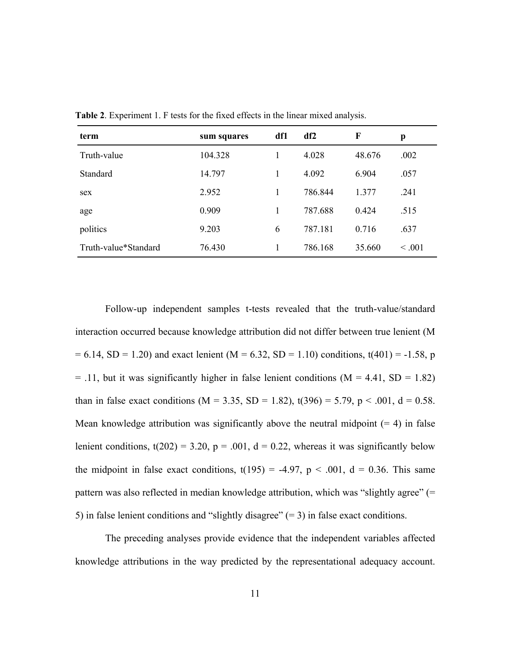| term                 | sum squares | df1 | df2     | F      | p       |
|----------------------|-------------|-----|---------|--------|---------|
| Truth-value          | 104.328     |     | 4.028   | 48.676 | .002    |
| Standard             | 14.797      | 1   | 4.092   | 6.904  | .057    |
| sex                  | 2.952       |     | 786.844 | 1.377  | .241    |
| age                  | 0.909       |     | 787.688 | 0.424  | .515    |
| politics             | 9.203       | 6   | 787.181 | 0.716  | .637    |
| Truth-value*Standard | 76.430      |     | 786.168 | 35.660 | < 0.001 |

**Table 2**. Experiment 1. F tests for the fixed effects in the linear mixed analysis.

Follow-up independent samples t-tests revealed that the truth-value/standard interaction occurred because knowledge attribution did not differ between true lenient (M  $= 6.14$ , SD = 1.20) and exact lenient (M = 6.32, SD = 1.10) conditions, t(401) = -1.58, p  $=$  .11, but it was significantly higher in false lenient conditions (M = 4.41, SD = 1.82) than in false exact conditions (M = 3.35, SD = 1.82), t(396) = 5.79, p < .001, d = 0.58. Mean knowledge attribution was significantly above the neutral midpoint  $(= 4)$  in false lenient conditions,  $t(202) = 3.20$ ,  $p = .001$ ,  $d = 0.22$ , whereas it was significantly below the midpoint in false exact conditions,  $t(195) = -4.97$ ,  $p < .001$ ,  $d = 0.36$ . This same pattern was also reflected in median knowledge attribution, which was "slightly agree" (= 5) in false lenient conditions and "slightly disagree"  $(= 3)$  in false exact conditions.

The preceding analyses provide evidence that the independent variables affected knowledge attributions in the way predicted by the representational adequacy account.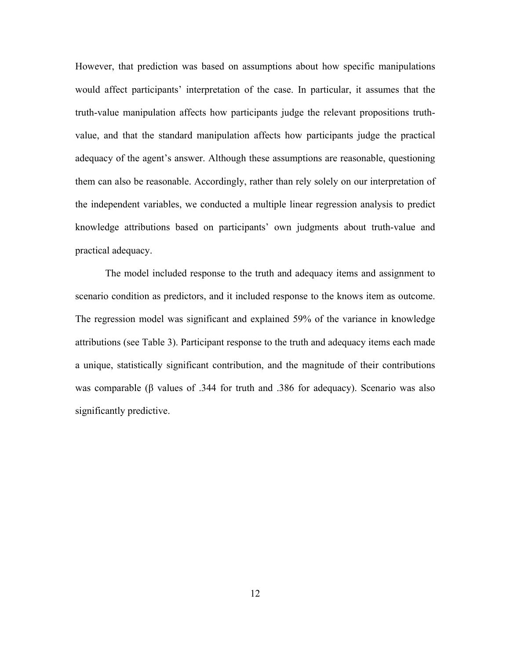However, that prediction was based on assumptions about how specific manipulations would affect participants' interpretation of the case. In particular, it assumes that the truth-value manipulation affects how participants judge the relevant propositions truthvalue, and that the standard manipulation affects how participants judge the practical adequacy of the agent's answer. Although these assumptions are reasonable, questioning them can also be reasonable. Accordingly, rather than rely solely on our interpretation of the independent variables, we conducted a multiple linear regression analysis to predict knowledge attributions based on participants' own judgments about truth-value and practical adequacy.

The model included response to the truth and adequacy items and assignment to scenario condition as predictors, and it included response to the knows item as outcome. The regression model was significant and explained 59% of the variance in knowledge attributions (see Table 3). Participant response to the truth and adequacy items each made a unique, statistically significant contribution, and the magnitude of their contributions was comparable (β values of .344 for truth and .386 for adequacy). Scenario was also significantly predictive.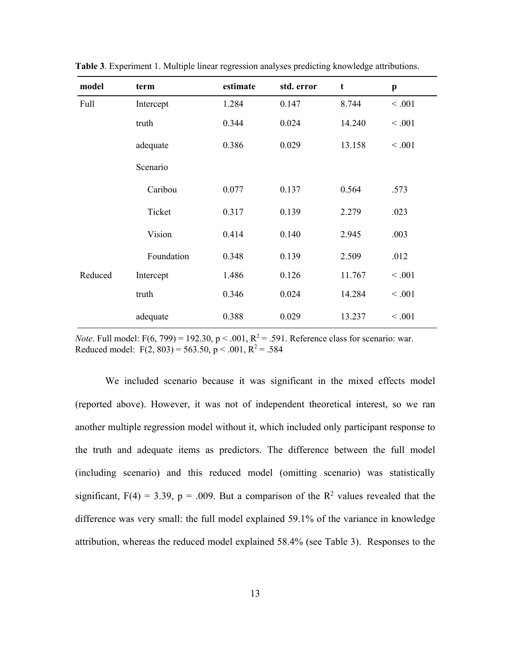| model   | term       | estimate | std. error | $\mathbf t$ | $\boldsymbol{\mathrm{p}}$ |
|---------|------------|----------|------------|-------------|---------------------------|
| Full    | Intercept  | 1.284    | 0.147      | 8.744       | < .001                    |
|         | truth      | 0.344    | 0.024      | 14.240      | < .001                    |
|         | adequate   | 0.386    | 0.029      | 13.158      | < 0.001                   |
|         | Scenario   |          |            |             |                           |
|         | Caribou    | 0.077    | 0.137      | 0.564       | .573                      |
|         | Ticket     | 0.317    | 0.139      | 2.279       | .023                      |
|         | Vision     | 0.414    | 0.140      | 2.945       | .003                      |
|         | Foundation | 0.348    | 0.139      | 2.509       | .012                      |
| Reduced | Intercept  | 1.486    | 0.126      | 11.767      | < 0.001                   |
|         | truth      | 0.346    | 0.024      | 14.284      | < .001                    |
|         | adequate   | 0.388    | 0.029      | 13.237      | < 0.001                   |

**Table 3**. Experiment 1. Multiple linear regression analyses predicting knowledge attributions.

*Note*. Full model:  $F(6, 799) = 192.30, p < .001, R^2 = .591$ . Reference class for scenario: war. Reduced model:  $F(2, 803) = 563.50$ ,  $p < .001$ ,  $R^2 = .584$ 

We included scenario because it was significant in the mixed effects model (reported above). However, it was not of independent theoretical interest, so we ran another multiple regression model without it, which included only participant response to the truth and adequate items as predictors. The difference between the full model (including scenario) and this reduced model (omitting scenario) was statistically significant,  $F(4) = 3.39$ ,  $p = .009$ . But a comparison of the  $R<sup>2</sup>$  values revealed that the difference was very small: the full model explained 59.1% of the variance in knowledge attribution, whereas the reduced model explained 58.4% (see Table 3). Responses to the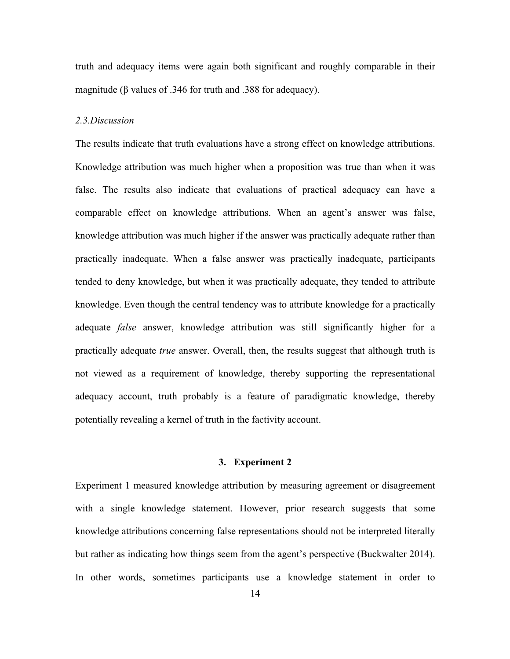truth and adequacy items were again both significant and roughly comparable in their magnitude (β values of .346 for truth and .388 for adequacy).

#### *2.3.Discussion*

The results indicate that truth evaluations have a strong effect on knowledge attributions. Knowledge attribution was much higher when a proposition was true than when it was false. The results also indicate that evaluations of practical adequacy can have a comparable effect on knowledge attributions. When an agent's answer was false, knowledge attribution was much higher if the answer was practically adequate rather than practically inadequate. When a false answer was practically inadequate, participants tended to deny knowledge, but when it was practically adequate, they tended to attribute knowledge. Even though the central tendency was to attribute knowledge for a practically adequate *false* answer, knowledge attribution was still significantly higher for a practically adequate *true* answer. Overall, then, the results suggest that although truth is not viewed as a requirement of knowledge, thereby supporting the representational adequacy account, truth probably is a feature of paradigmatic knowledge, thereby potentially revealing a kernel of truth in the factivity account.

### **3. Experiment 2**

Experiment 1 measured knowledge attribution by measuring agreement or disagreement with a single knowledge statement. However, prior research suggests that some knowledge attributions concerning false representations should not be interpreted literally but rather as indicating how things seem from the agent's perspective (Buckwalter 2014). In other words, sometimes participants use a knowledge statement in order to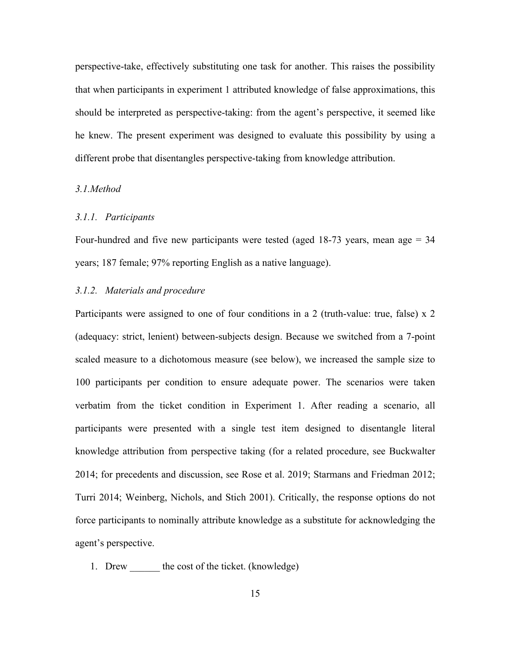perspective-take, effectively substituting one task for another. This raises the possibility that when participants in experiment 1 attributed knowledge of false approximations, this should be interpreted as perspective-taking: from the agent's perspective, it seemed like he knew. The present experiment was designed to evaluate this possibility by using a different probe that disentangles perspective-taking from knowledge attribution.

#### *3.1.Method*

#### *3.1.1. Participants*

Four-hundred and five new participants were tested (aged 18-73 years, mean age = 34 years; 187 female; 97% reporting English as a native language).

# *3.1.2. Materials and procedure*

Participants were assigned to one of four conditions in a 2 (truth-value: true, false) x 2 (adequacy: strict, lenient) between-subjects design. Because we switched from a 7-point scaled measure to a dichotomous measure (see below), we increased the sample size to 100 participants per condition to ensure adequate power. The scenarios were taken verbatim from the ticket condition in Experiment 1. After reading a scenario, all participants were presented with a single test item designed to disentangle literal knowledge attribution from perspective taking (for a related procedure, see Buckwalter 2014; for precedents and discussion, see Rose et al. 2019; Starmans and Friedman 2012; Turri 2014; Weinberg, Nichols, and Stich 2001). Critically, the response options do not force participants to nominally attribute knowledge as a substitute for acknowledging the agent's perspective.

1. Drew the cost of the ticket. (knowledge)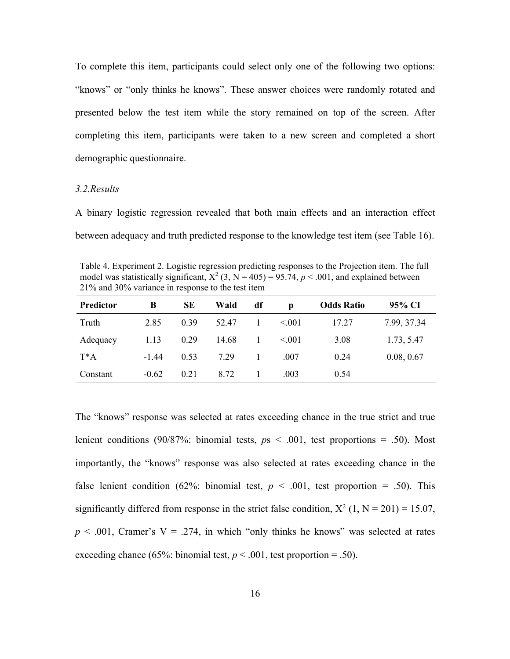To complete this item, participants could select only one of the following two options: "knows" or "only thinks he knows". These answer choices were randomly rotated and presented below the test item while the story remained on top of the screen. After completing this item, participants were taken to a new screen and completed a short demographic questionnaire.

#### *3.2.Results*

A binary logistic regression revealed that both main effects and an interaction effect between adequacy and truth predicted response to the knowledge test item (see Table 16).

Table 4. Experiment 2. Logistic regression predicting responses to the Projection item. The full model was statistically significant,  $X^2$  (3,  $N = 405$ ) = 95.74, *p* < .001, and explained between 21% and 30% variance in response to the test item

| Predictor | B       | SЕ   | Wald  | df | D      | <b>Odds Ratio</b> | 95% CI      |
|-----------|---------|------|-------|----|--------|-------------------|-------------|
| Truth     | 2.85    | 0.39 | 52.47 | L  | < 0.01 | 17.27             | 7.99, 37.34 |
| Adequacy  | 1.13    | 0.29 | 14.68 |    | < 0.01 | 3.08              | 1.73, 5.47  |
| $T^*A$    | $-1.44$ | 0.53 | 7.29  |    | .007   | 0.24              | 0.08, 0.67  |
| Constant  | $-0.62$ | 0.21 | 8.72  |    | .003   | 0.54              |             |

The "knows" response was selected at rates exceeding chance in the true strict and true lenient conditions (90/87%: binomial tests,  $p_s < .001$ , test proportions = .50). Most importantly, the "knows" response was also selected at rates exceeding chance in the false lenient condition (62%: binomial test,  $p < .001$ , test proportion = .50). This significantly differed from response in the strict false condition,  $X^2$  (1, N = 201) = 15.07,  $p < .001$ , Cramer's V = .274, in which "only thinks he knows" was selected at rates exceeding chance (65%: binomial test,  $p < .001$ , test proportion = .50).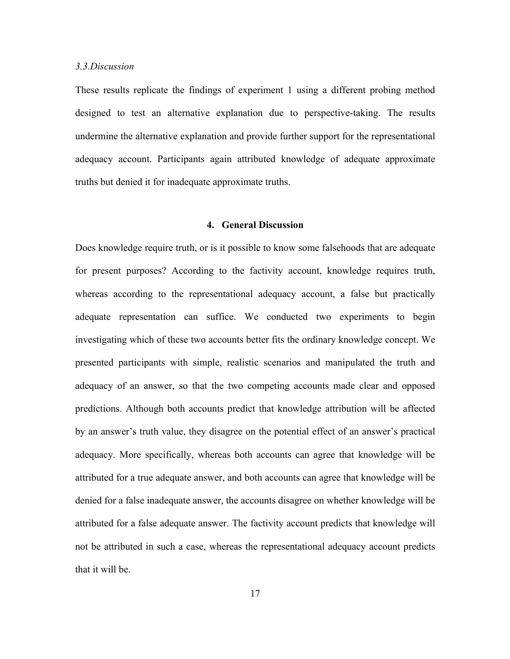#### *3.3.Discussion*

These results replicate the findings of experiment 1 using a different probing method designed to test an alternative explanation due to perspective-taking. The results undermine the alternative explanation and provide further support for the representational adequacy account. Participants again attributed knowledge of adequate approximate truths but denied it for inadequate approximate truths.

## **4. General Discussion**

Does knowledge require truth, or is it possible to know some falsehoods that are adequate for present purposes? According to the factivity account, knowledge requires truth, whereas according to the representational adequacy account, a false but practically adequate representation can suffice. We conducted two experiments to begin investigating which of these two accounts better fits the ordinary knowledge concept. We presented participants with simple, realistic scenarios and manipulated the truth and adequacy of an answer, so that the two competing accounts made clear and opposed predictions. Although both accounts predict that knowledge attribution will be affected by an answer's truth value, they disagree on the potential effect of an answer's practical adequacy. More specifically, whereas both accounts can agree that knowledge will be attributed for a true adequate answer, and both accounts can agree that knowledge will be denied for a false inadequate answer, the accounts disagree on whether knowledge will be attributed for a false adequate answer. The factivity account predicts that knowledge will not be attributed in such a case, whereas the representational adequacy account predicts that it will be.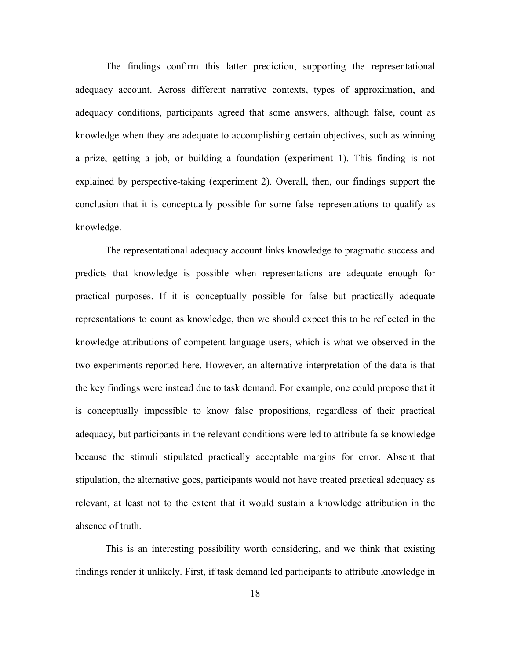The findings confirm this latter prediction, supporting the representational adequacy account. Across different narrative contexts, types of approximation, and adequacy conditions, participants agreed that some answers, although false, count as knowledge when they are adequate to accomplishing certain objectives, such as winning a prize, getting a job, or building a foundation (experiment 1). This finding is not explained by perspective-taking (experiment 2). Overall, then, our findings support the conclusion that it is conceptually possible for some false representations to qualify as knowledge.

The representational adequacy account links knowledge to pragmatic success and predicts that knowledge is possible when representations are adequate enough for practical purposes. If it is conceptually possible for false but practically adequate representations to count as knowledge, then we should expect this to be reflected in the knowledge attributions of competent language users, which is what we observed in the two experiments reported here. However, an alternative interpretation of the data is that the key findings were instead due to task demand. For example, one could propose that it is conceptually impossible to know false propositions, regardless of their practical adequacy, but participants in the relevant conditions were led to attribute false knowledge because the stimuli stipulated practically acceptable margins for error. Absent that stipulation, the alternative goes, participants would not have treated practical adequacy as relevant, at least not to the extent that it would sustain a knowledge attribution in the absence of truth.

This is an interesting possibility worth considering, and we think that existing findings render it unlikely. First, if task demand led participants to attribute knowledge in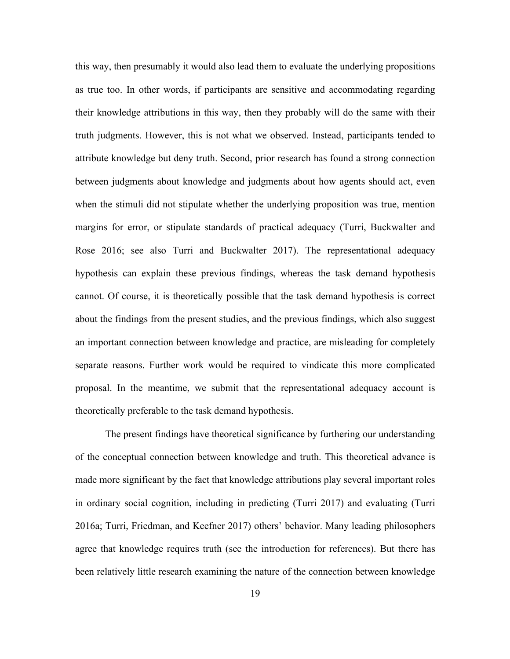this way, then presumably it would also lead them to evaluate the underlying propositions as true too. In other words, if participants are sensitive and accommodating regarding their knowledge attributions in this way, then they probably will do the same with their truth judgments. However, this is not what we observed. Instead, participants tended to attribute knowledge but deny truth. Second, prior research has found a strong connection between judgments about knowledge and judgments about how agents should act, even when the stimuli did not stipulate whether the underlying proposition was true, mention margins for error, or stipulate standards of practical adequacy (Turri, Buckwalter and Rose 2016; see also Turri and Buckwalter 2017). The representational adequacy hypothesis can explain these previous findings, whereas the task demand hypothesis cannot. Of course, it is theoretically possible that the task demand hypothesis is correct about the findings from the present studies, and the previous findings, which also suggest an important connection between knowledge and practice, are misleading for completely separate reasons. Further work would be required to vindicate this more complicated proposal. In the meantime, we submit that the representational adequacy account is theoretically preferable to the task demand hypothesis.

The present findings have theoretical significance by furthering our understanding of the conceptual connection between knowledge and truth. This theoretical advance is made more significant by the fact that knowledge attributions play several important roles in ordinary social cognition, including in predicting (Turri 2017) and evaluating (Turri 2016a; Turri, Friedman, and Keefner 2017) others' behavior. Many leading philosophers agree that knowledge requires truth (see the introduction for references). But there has been relatively little research examining the nature of the connection between knowledge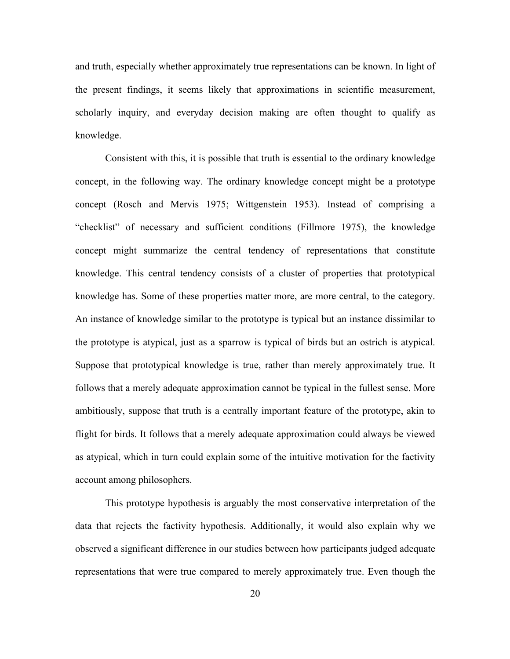and truth, especially whether approximately true representations can be known. In light of the present findings, it seems likely that approximations in scientific measurement, scholarly inquiry, and everyday decision making are often thought to qualify as knowledge.

Consistent with this, it is possible that truth is essential to the ordinary knowledge concept, in the following way. The ordinary knowledge concept might be a prototype concept (Rosch and Mervis 1975; Wittgenstein 1953). Instead of comprising a "checklist" of necessary and sufficient conditions (Fillmore 1975), the knowledge concept might summarize the central tendency of representations that constitute knowledge. This central tendency consists of a cluster of properties that prototypical knowledge has. Some of these properties matter more, are more central, to the category. An instance of knowledge similar to the prototype is typical but an instance dissimilar to the prototype is atypical, just as a sparrow is typical of birds but an ostrich is atypical. Suppose that prototypical knowledge is true, rather than merely approximately true. It follows that a merely adequate approximation cannot be typical in the fullest sense. More ambitiously, suppose that truth is a centrally important feature of the prototype, akin to flight for birds. It follows that a merely adequate approximation could always be viewed as atypical, which in turn could explain some of the intuitive motivation for the factivity account among philosophers.

This prototype hypothesis is arguably the most conservative interpretation of the data that rejects the factivity hypothesis. Additionally, it would also explain why we observed a significant difference in our studies between how participants judged adequate representations that were true compared to merely approximately true. Even though the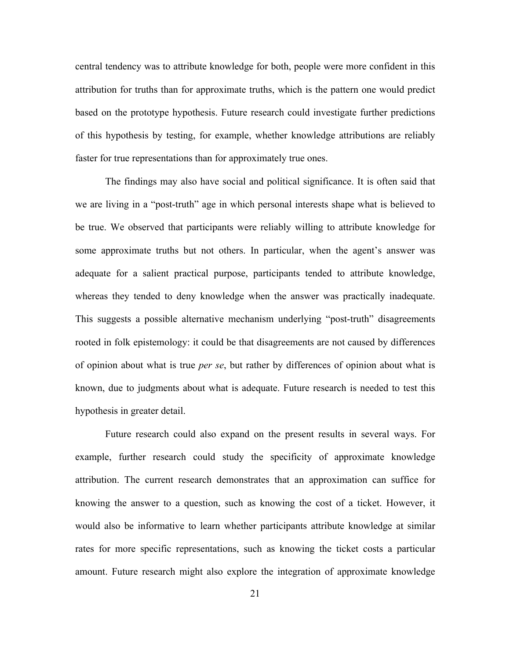central tendency was to attribute knowledge for both, people were more confident in this attribution for truths than for approximate truths, which is the pattern one would predict based on the prototype hypothesis. Future research could investigate further predictions of this hypothesis by testing, for example, whether knowledge attributions are reliably faster for true representations than for approximately true ones.

The findings may also have social and political significance. It is often said that we are living in a "post-truth" age in which personal interests shape what is believed to be true. We observed that participants were reliably willing to attribute knowledge for some approximate truths but not others. In particular, when the agent's answer was adequate for a salient practical purpose, participants tended to attribute knowledge, whereas they tended to deny knowledge when the answer was practically inadequate. This suggests a possible alternative mechanism underlying "post-truth" disagreements rooted in folk epistemology: it could be that disagreements are not caused by differences of opinion about what is true *per se*, but rather by differences of opinion about what is known, due to judgments about what is adequate. Future research is needed to test this hypothesis in greater detail.

Future research could also expand on the present results in several ways. For example, further research could study the specificity of approximate knowledge attribution. The current research demonstrates that an approximation can suffice for knowing the answer to a question, such as knowing the cost of a ticket. However, it would also be informative to learn whether participants attribute knowledge at similar rates for more specific representations, such as knowing the ticket costs a particular amount. Future research might also explore the integration of approximate knowledge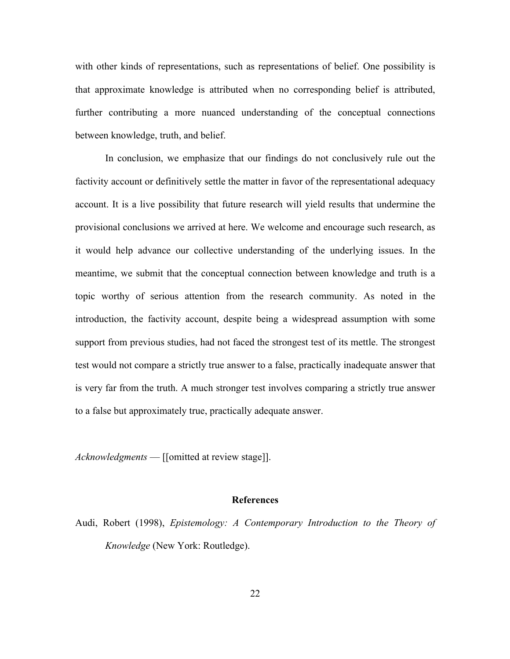with other kinds of representations, such as representations of belief. One possibility is that approximate knowledge is attributed when no corresponding belief is attributed, further contributing a more nuanced understanding of the conceptual connections between knowledge, truth, and belief.

In conclusion, we emphasize that our findings do not conclusively rule out the factivity account or definitively settle the matter in favor of the representational adequacy account. It is a live possibility that future research will yield results that undermine the provisional conclusions we arrived at here. We welcome and encourage such research, as it would help advance our collective understanding of the underlying issues. In the meantime, we submit that the conceptual connection between knowledge and truth is a topic worthy of serious attention from the research community. As noted in the introduction, the factivity account, despite being a widespread assumption with some support from previous studies, had not faced the strongest test of its mettle. The strongest test would not compare a strictly true answer to a false, practically inadequate answer that is very far from the truth. A much stronger test involves comparing a strictly true answer to a false but approximately true, practically adequate answer.

*Acknowledgments* — [[omitted at review stage]].

# **References**

Audi, Robert (1998), *Epistemology: A Contemporary Introduction to the Theory of Knowledge* (New York: Routledge).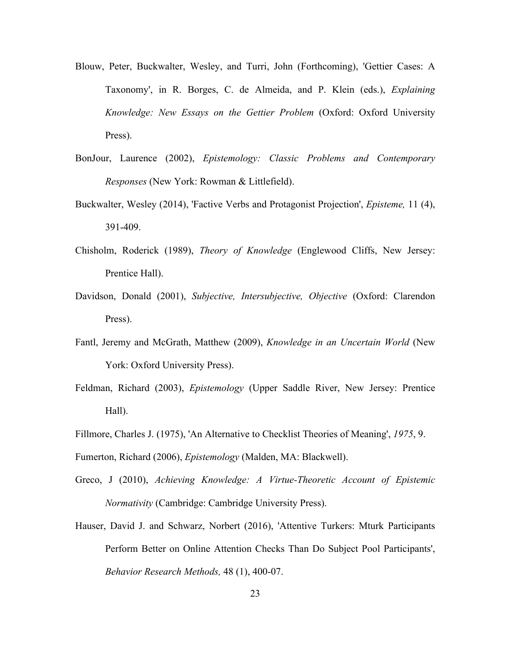- Blouw, Peter, Buckwalter, Wesley, and Turri, John (Forthcoming), 'Gettier Cases: A Taxonomy', in R. Borges, C. de Almeida, and P. Klein (eds.), *Explaining Knowledge: New Essays on the Gettier Problem* (Oxford: Oxford University Press).
- BonJour, Laurence (2002), *Epistemology: Classic Problems and Contemporary Responses* (New York: Rowman & Littlefield).
- Buckwalter, Wesley (2014), 'Factive Verbs and Protagonist Projection', *Episteme,* 11 (4), 391-409.
- Chisholm, Roderick (1989), *Theory of Knowledge* (Englewood Cliffs, New Jersey: Prentice Hall).
- Davidson, Donald (2001), *Subjective, Intersubjective, Objective* (Oxford: Clarendon Press).
- Fantl, Jeremy and McGrath, Matthew (2009), *Knowledge in an Uncertain World* (New York: Oxford University Press).
- Feldman, Richard (2003), *Epistemology* (Upper Saddle River, New Jersey: Prentice Hall).
- Fillmore, Charles J. (1975), 'An Alternative to Checklist Theories of Meaning', *1975*, 9.

Fumerton, Richard (2006), *Epistemology* (Malden, MA: Blackwell).

- Greco, J (2010), *Achieving Knowledge: A Virtue-Theoretic Account of Epistemic Normativity* (Cambridge: Cambridge University Press).
- Hauser, David J. and Schwarz, Norbert (2016), 'Attentive Turkers: Mturk Participants Perform Better on Online Attention Checks Than Do Subject Pool Participants', *Behavior Research Methods,* 48 (1), 400-07.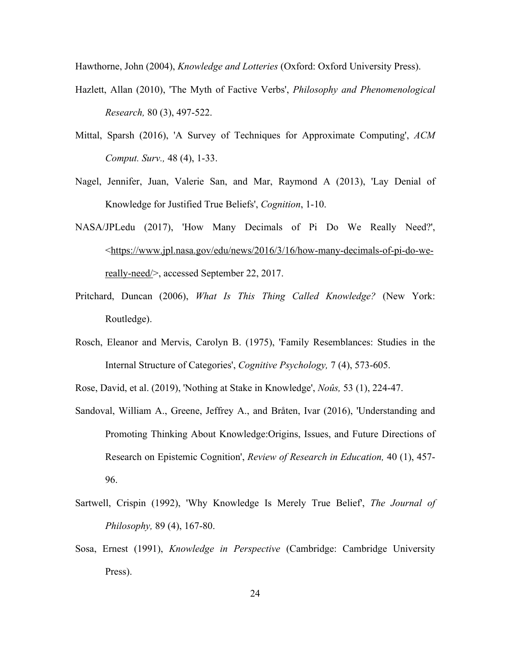Hawthorne, John (2004), *Knowledge and Lotteries* (Oxford: Oxford University Press).

- Hazlett, Allan (2010), 'The Myth of Factive Verbs', *Philosophy and Phenomenological Research,* 80 (3), 497-522.
- Mittal, Sparsh (2016), 'A Survey of Techniques for Approximate Computing', *ACM Comput. Surv.,* 48 (4), 1-33.
- Nagel, Jennifer, Juan, Valerie San, and Mar, Raymond A (2013), 'Lay Denial of Knowledge for Justified True Beliefs', *Cognition*, 1-10.
- NASA/JPLedu (2017), 'How Many Decimals of Pi Do We Really Need?', <https://www.jpl.nasa.gov/edu/news/2016/3/16/how-many-decimals-of-pi-do-wereally-need/>, accessed September 22, 2017.
- Pritchard, Duncan (2006), *What Is This Thing Called Knowledge?* (New York: Routledge).
- Rosch, Eleanor and Mervis, Carolyn B. (1975), 'Family Resemblances: Studies in the Internal Structure of Categories', *Cognitive Psychology,* 7 (4), 573-605.

Rose, David, et al. (2019), 'Nothing at Stake in Knowledge', *Noûs,* 53 (1), 224-47.

- Sandoval, William A., Greene, Jeffrey A., and Bråten, Ivar (2016), 'Understanding and Promoting Thinking About Knowledge:Origins, Issues, and Future Directions of Research on Epistemic Cognition', *Review of Research in Education,* 40 (1), 457- 96.
- Sartwell, Crispin (1992), 'Why Knowledge Is Merely True Belief', *The Journal of Philosophy,* 89 (4), 167-80.
- Sosa, Ernest (1991), *Knowledge in Perspective* (Cambridge: Cambridge University Press).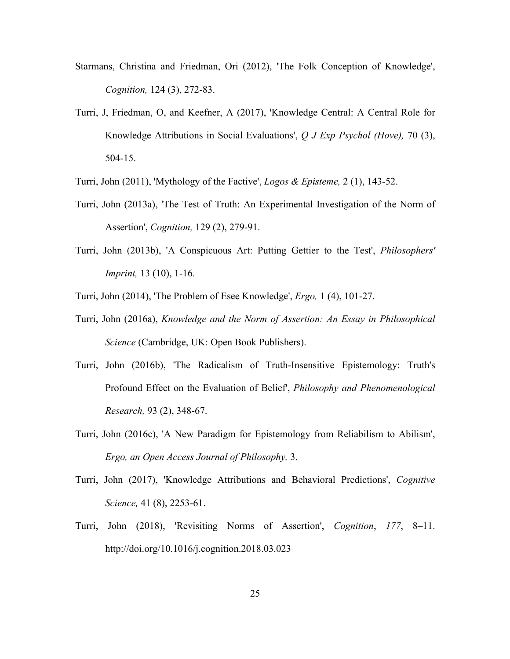- Starmans, Christina and Friedman, Ori (2012), 'The Folk Conception of Knowledge', *Cognition,* 124 (3), 272-83.
- Turri, J, Friedman, O, and Keefner, A (2017), 'Knowledge Central: A Central Role for Knowledge Attributions in Social Evaluations', *Q J Exp Psychol (Hove),* 70 (3), 504-15.
- Turri, John (2011), 'Mythology of the Factive', *Logos & Episteme,* 2 (1), 143-52.
- Turri, John (2013a), 'The Test of Truth: An Experimental Investigation of the Norm of Assertion', *Cognition,* 129 (2), 279-91.
- Turri, John (2013b), 'A Conspicuous Art: Putting Gettier to the Test', *Philosophers' Imprint,* 13 (10), 1-16.
- Turri, John (2014), 'The Problem of Esee Knowledge', *Ergo,* 1 (4), 101-27.
- Turri, John (2016a), *Knowledge and the Norm of Assertion: An Essay in Philosophical Science* (Cambridge, UK: Open Book Publishers).
- Turri, John (2016b), 'The Radicalism of Truth-Insensitive Epistemology: Truth's Profound Effect on the Evaluation of Belief', *Philosophy and Phenomenological Research,* 93 (2), 348-67.
- Turri, John (2016c), 'A New Paradigm for Epistemology from Reliabilism to Abilism', *Ergo, an Open Access Journal of Philosophy,* 3.
- Turri, John (2017), 'Knowledge Attributions and Behavioral Predictions', *Cognitive Science,* 41 (8), 2253-61.
- Turri, John (2018), 'Revisiting Norms of Assertion', *Cognition*, *177*, 8–11. http://doi.org/10.1016/j.cognition.2018.03.023